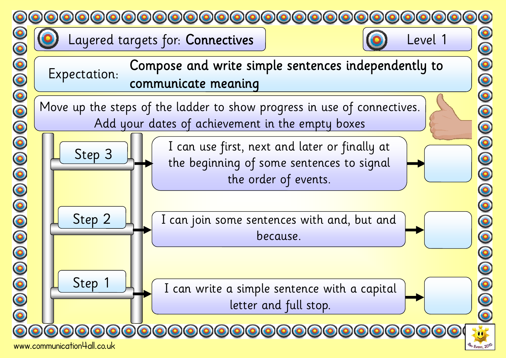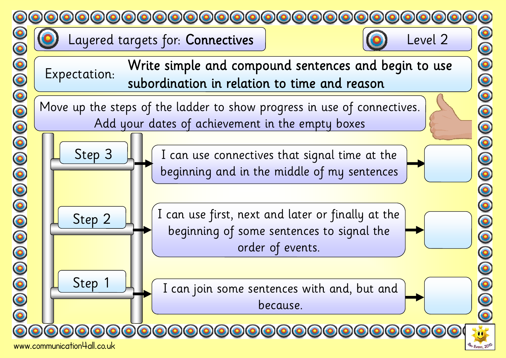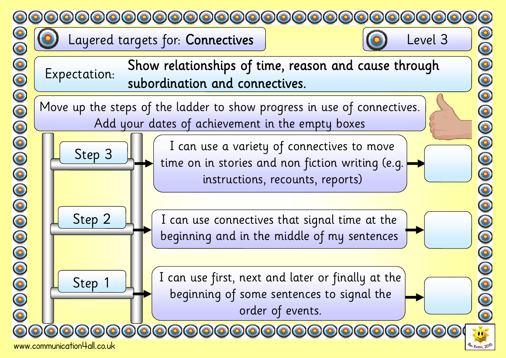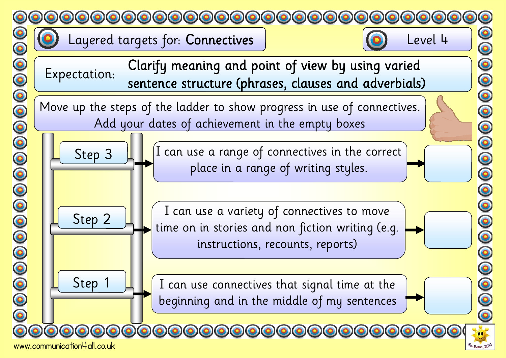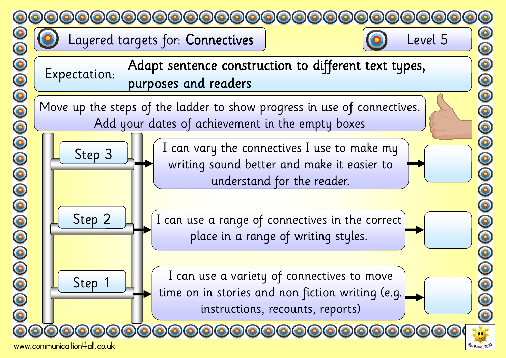